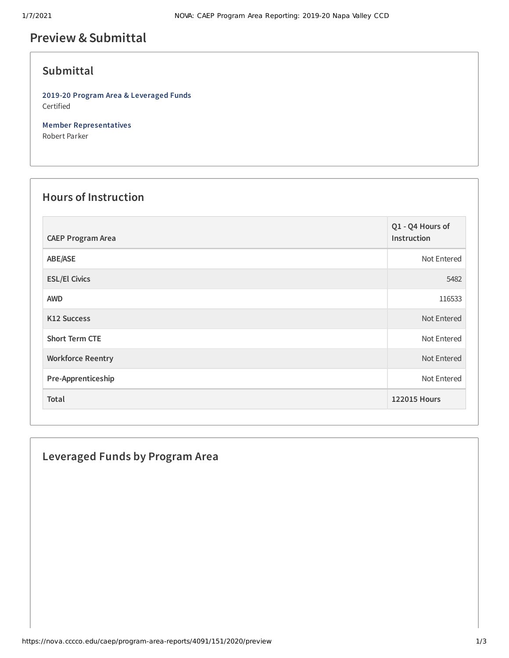# **Preview &Submittal**

### **Submittal**

**2019-20 Program Area & Leveraged Funds** Certified

**Member Representatives** Robert Parker

#### **Hours of Instruction**

| <b>CAEP Program Area</b> | Q1 - Q4 Hours of<br>Instruction |
|--------------------------|---------------------------------|
| ABE/ASE                  | Not Entered                     |
| <b>ESL/El Civics</b>     | 5482                            |
| <b>AWD</b>               | 116533                          |
| <b>K12 Success</b>       | Not Entered                     |
| <b>Short Term CTE</b>    | Not Entered                     |
| <b>Workforce Reentry</b> | Not Entered                     |
| Pre-Apprenticeship       | Not Entered                     |
| Total                    | <b>122015 Hours</b>             |

### **Leveraged Funds by Program Area**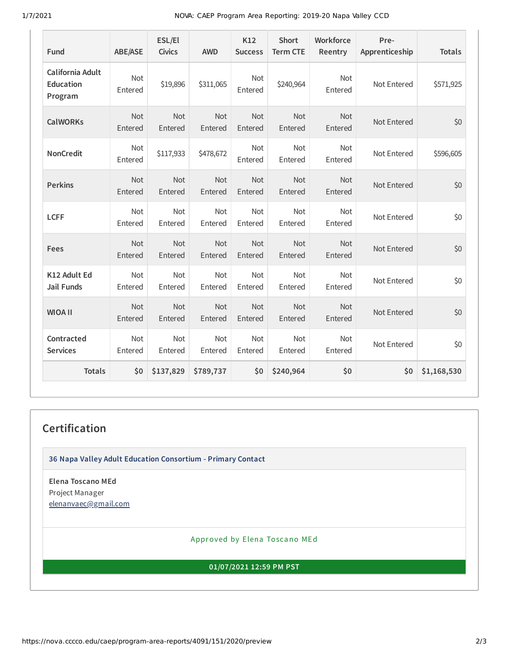1/7/2021 NOVA: CAEP Program Area Reporting: 2019-20 Napa Valley CCD

| Fund                                            | <b>ABE/ASE</b>        | ESL/El<br><b>Civics</b> | <b>AWD</b>            | K12<br><b>Success</b> | <b>Short</b><br><b>Term CTE</b> | Workforce<br>Reentry  | Pre-<br>Apprenticeship | <b>Totals</b> |
|-------------------------------------------------|-----------------------|-------------------------|-----------------------|-----------------------|---------------------------------|-----------------------|------------------------|---------------|
| California Adult<br><b>Education</b><br>Program | Not<br>Entered        | \$19,896                | \$311,065             | Not<br>Entered        | \$240,964                       | Not<br>Entered        | Not Entered            | \$571,925     |
| <b>CalWORKs</b>                                 | Not<br>Entered        | Not<br>Entered          | Not<br>Entered        | Not<br>Entered        | <b>Not</b><br>Entered           | Not<br>Entered        | Not Entered            | \$0           |
| <b>NonCredit</b>                                | <b>Not</b><br>Entered | \$117,933               | \$478,672             | <b>Not</b><br>Entered | <b>Not</b><br>Entered           | <b>Not</b><br>Entered | Not Entered            | \$596,605     |
| <b>Perkins</b>                                  | <b>Not</b><br>Entered | <b>Not</b><br>Entered   | <b>Not</b><br>Entered | Not<br>Entered        | <b>Not</b><br>Entered           | <b>Not</b><br>Entered | Not Entered            | \$0           |
| <b>LCFF</b>                                     | Not<br>Entered        | Not<br>Entered          | Not<br>Entered        | Not<br>Entered        | Not<br>Entered                  | Not<br>Entered        | Not Entered            | \$0           |
| Fees                                            | <b>Not</b><br>Entered | <b>Not</b><br>Entered   | Not<br>Entered        | Not<br>Entered        | Not<br>Entered                  | <b>Not</b><br>Entered | Not Entered            | \$0           |
| K12 Adult Ed<br><b>Jail Funds</b>               | Not<br>Entered        | Not<br>Entered          | Not<br>Entered        | Not<br>Entered        | <b>Not</b><br>Entered           | <b>Not</b><br>Entered | Not Entered            | \$0           |
| <b>WIOA II</b>                                  | Not<br>Entered        | Not<br>Entered          | Not<br>Entered        | <b>Not</b><br>Entered | <b>Not</b><br>Entered           | Not<br>Entered        | Not Entered            | \$0           |
| Contracted<br><b>Services</b>                   | Not<br>Entered        | Not<br>Entered          | Not<br>Entered        | <b>Not</b><br>Entered | <b>Not</b><br>Entered           | Not<br>Entered        | Not Entered            | \$0           |
| <b>Totals</b>                                   | \$0                   | \$137,829               | \$789,737             | \$0                   | \$240,964                       | \$0                   | \$0                    | \$1,168,530   |

## **Certification**

**36 Napa Valley Adult Education Consortium - Primary Contact**

**Elena Toscano MEd** Project Manager [elenanvaec@gmail.com](mailto:elenanvaec@gmail.com)

Approved by Elena Toscano MEd

**01/07/2021 12:59 PM PST**